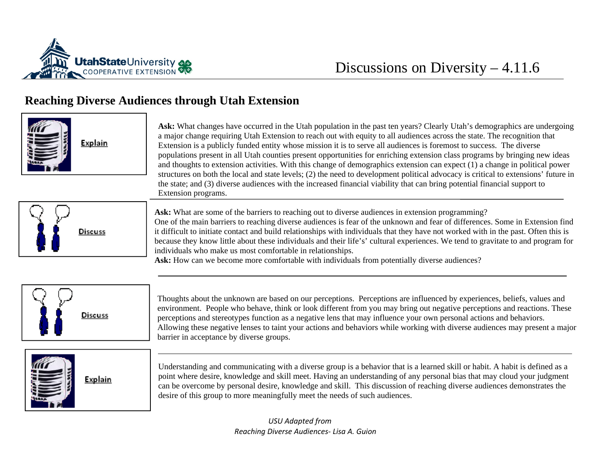

## **Reaching Diverse Audiences through Utah Extension**



**Ask:** What changes have occurred in the Utah population in the past ten years? Clearly Utah's demographics are undergoing a major change requiring Utah Extension to reach out with equity to all audiences across the state. The recognition that Extension is a publicly funded entity whose mission it is to serve all audiences is foremost to success. The diverse populations present in all Utah counties present opportunities for enriching extension class programs by bringing new ideas and thoughts to extension activities. With this change of demographics extension can expect (1) a change in political power structures on both the local and state levels; (2) the need to development political advocacy is critical to extensions' future in the state; and (3) diverse audiences with the increased financial viability that can bring potential financial support to Extension programs.



Ask: What are some of the barriers to reaching out to diverse audiences in extension programming? One of the main barriers to reaching diverse audiences is fear of the unknown and fear of differences. Some in Extension find it difficult to initiate contact and build relationships with individuals that they have not worked with in the past. Often this is because they know little about these individuals and their life's' cultural experiences. We tend to gravitate to and program for individuals who make us most comfortable in relationships.

**Ask:** How can we become more comfortable with individuals from potentially diverse audiences?



Thoughts about the unknown are based on our perceptions. Perceptions are influenced by experiences, beliefs, values and environment. People who behave, think or look different from you may bring out negative perceptions and reactions. These perceptions and stereotypes function as a negative lens that may influence your own personal actions and behaviors. Allowing these negative lenses to taint your actions and behaviors while working with diverse audiences may present a major barrier in acceptance by diverse groups.



Understanding and communicating with a diverse group is a behavior that is a learned skill or habit. A habit is defined as a point where desire, knowledge and skill meet. Having an understanding of any personal bias that may cloud your judgment can be overcome by personal desire, knowledge and skill. This discussion of reaching diverse audiences demonstrates the desire of this group to more meaningfully meet the needs of such audiences.